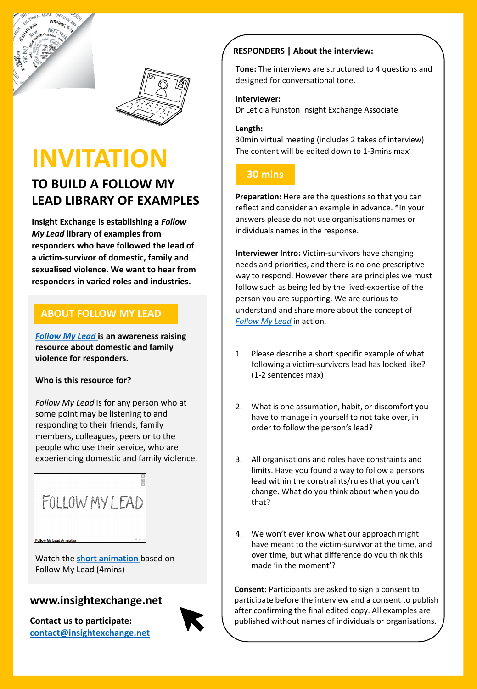



# **INVITATION**

# **TO BUILD A FOLLOW MY LEAD LIBRARY OF EXAMPLES**

**Insight Exchange is establishing a** *Follow My Lead* **library of examples from responders who have followed the lead of a victim-survivor of domestic, family and sexualised violence. We want to hear from responders in varied roles and industries.**

# **ABOUT FOLLOW MY LEAD**

*[Follow My Lead](https://www.insightexchange.net/follow-my-lead/)* **is an awareness raising resource about domestic and family violence for responders.**

### **Who is this resource for?**

*Follow My Lead* is for any person who at some point may be listening to and responding to their friends, family members, colleagues, peers or to the people who use their service, who are experiencing domestic and family violence.



Watch the **[short animation](https://vimeo.com/468850972)** based on Follow My Lead (4mins)

# **www.insightexchange.net**

**Contact us to participate: [contact@insightexchange.net](mailto:contact@insightexchange.net)**



## **RESPONDERS | About the interview:**

**Tone:** The interviews are structured to 4 questions and designed for conversational tone.

#### **Interviewer:**

Dr Leticia Funston Insight Exchange Associate

#### **Length:**

30min virtual meeting (includes 2 takes of interview) The content will be edited down to 1-3mins max'

# **30 mins**

**Preparation:** Here are the questions so that you can reflect and consider an example in advance. \*In your answers please do not use organisations names or individuals names in the response.

**Interviewer Intro:** Victim-survivors have changing needs and priorities, and there is no one prescriptive way to respond. However there are principles we must follow such as being led by the lived-expertise of the person you are supporting. We are curious to understand and share more about the concept of *[Follow My Lead](https://www.insightexchange.net/follow-my-lead/)* in action.

- 1. Please describe a short specific example of what following a victim-survivors lead has looked like? (1-2 sentences max)
- 2. What is one assumption, habit, or discomfort you have to manage in yourself to not take over, in order to follow the person's lead?
- 3. All organisations and roles have constraints and limits. Have you found a way to follow a persons lead within the constraints/rules that you can't change. What do you think about when you do that?
- 4. We won't ever know what our approach might have meant to the victim-survivor at the time, and over time, but what difference do you think this made 'in the moment'?

**Consent:** Participants are asked to sign a consent to participate before the interview and a consent to publish after confirming the final edited copy. All examples are published without names of individuals or organisations.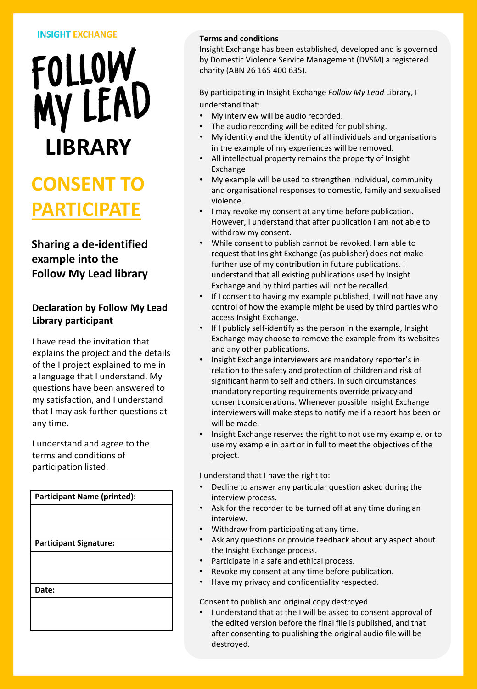#### **INSIGHT EXCHANGE**



# **CONSENT TO PARTICIPATE**

# **Sharing a de-identified example into the Follow My Lead library**

## **Declaration by Follow My Lead Library participant**

I have read the invitation that explains the project and the details of the I project explained to me in a language that I understand. My questions have been answered to my satisfaction, and I understand that I may ask further questions at any time.

I understand and agree to the terms and conditions of participation listed.

| <b>Participant Name (printed):</b> |
|------------------------------------|
|                                    |
|                                    |
|                                    |
| <b>Participant Signature:</b>      |
|                                    |
|                                    |
|                                    |
| Date:                              |
|                                    |
|                                    |
|                                    |

#### **Terms and conditions**

Insight Exchange has been established, developed and is governed by Domestic Violence Service Management (DVSM) a registered charity (ABN 26 165 400 635).

By participating in Insight Exchange *Follow My Lead* Library, I understand that:

- My interview will be audio recorded.
- The audio recording will be edited for publishing.
- My identity and the identity of all individuals and organisations in the example of my experiences will be removed.
- All intellectual property remains the property of Insight Exchange
- My example will be used to strengthen individual, community and organisational responses to domestic, family and sexualised violence.
- I may revoke my consent at any time before publication. However, I understand that after publication I am not able to withdraw my consent.
- While consent to publish cannot be revoked, I am able to request that Insight Exchange (as publisher) does not make further use of my contribution in future publications. I understand that all existing publications used by Insight Exchange and by third parties will not be recalled.
- If I consent to having my example published, I will not have any control of how the example might be used by third parties who access Insight Exchange.
- If I publicly self-identify as the person in the example, Insight Exchange may choose to remove the example from its websites and any other publications.
- Insight Exchange interviewers are mandatory reporter's in relation to the safety and protection of children and risk of significant harm to self and others. In such circumstances mandatory reporting requirements override privacy and consent considerations. Whenever possible Insight Exchange interviewers will make steps to notify me if a report has been or will be made.
- Insight Exchange reserves the right to not use my example, or to use my example in part or in full to meet the objectives of the project.

I understand that I have the right to:

- Decline to answer any particular question asked during the interview process.
- Ask for the recorder to be turned off at any time during an interview.
- Withdraw from participating at any time.
- Ask any questions or provide feedback about any aspect about the Insight Exchange process.
- Participate in a safe and ethical process.
- Revoke my consent at any time before publication.
- Have my privacy and confidentiality respected.

Consent to publish and original copy destroyed

• I understand that at the I will be asked to consent approval of the edited version before the final file is published, and that after consenting to publishing the original audio file will be destroyed.